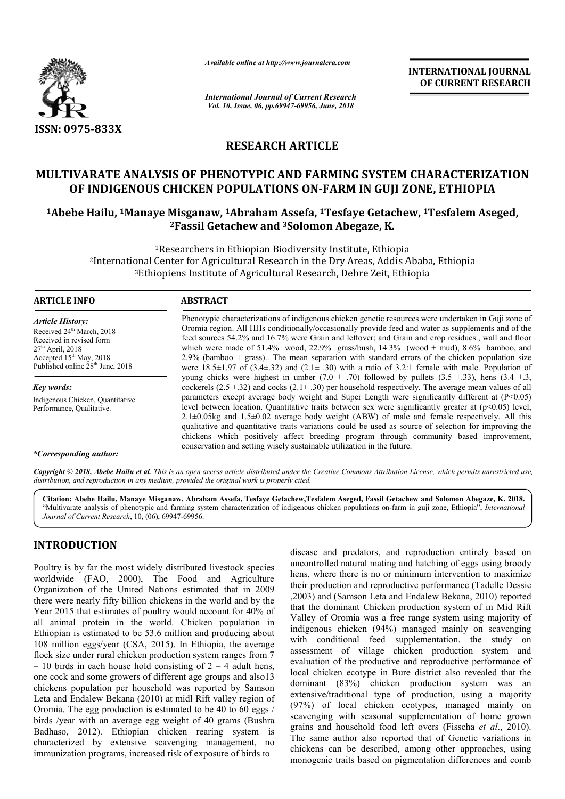

*Available online at http://www.journalcra.com*

*International Journal of Current Research Vol. 10, Issue, 06, pp.69947-69956, June, 2018*

**INTERNATIONAL JOURNAL OF CURRENT RESEARCH**

## **RESEARCH ARTICLE**

# **MULTIVARATE ANALYSIS OF PHENOTYPIC AND FARMING SYSTEM CHARACTERIZATION**  OF INDIGENOUS CHICKEN POPULATIONS ON-FARM IN GUJI ZONE, ETHIOPIA ULTIVARATE ANALYSIS OF PHENOTYPIC AND FARMING SYSTEM CHARACTERIZATION<br>OF INDIGENOUS CHICKEN POPULATIONS ON-FARM IN GUJI ZONE, ETHIOPIA<br><sup>1</sup>Abebe Hailu, <sup>1</sup>Manaye Misganaw, <sup>1</sup>Abraham Assefa, <sup>1</sup>Tesfaye Getachew, <sup>1</sup>Tesfalem

# <sup>2</sup> Fassil Getachew and <sup>3</sup>Solomon Abegaze, K.

<sup>1</sup>Researchers in Ethiopian Biodiversity Institute, Ethiopia<br>Center for Agricultural Research in the Dry Areas, Addis *f*<br>iopiens Institute of Agricultural Research, Debre Zeit, Eth 2International Center for Agricultural Research in the Dry Areas, Addis Ababa, Ethiopia 3Ethiopiens Institute of Agricultural Research, Debre Zeit, Ethiopia <sup>1</sup>Researchers in l<br>International Center for Agricu<br><sup>3</sup>Ethiopiens Institute

| ARTICLE INFO |
|--------------|
|--------------|

#### **ABSTRACT**

*Article History:* Received 24<sup>th</sup> March, 2018 Received in revised form  $27<sup>th</sup>$  April, 2018 Accepted 15<sup>th</sup> May, 2018 Published online 28<sup>th</sup> June, 2018

*Key words:* Indigenous Chicken, Quantitative. Performance, Qualitative.

#### *\*Corresponding author:*

Phenotypic characterizations of indigenous chicken genetic resources were undertaken in Guji zone of Oromia region. All HHs conditionally/occasionally provide feed and water as supplements and of the feed sources 54.2% and 16.7% were Grain and leftover; and Grain and crop residues., wall and floor Phenotypic characterizations of indigenous chicken genetic resources were undertaken in Guji zone of Oromia region. All HHs conditionally/occasionally provide feed and water as supplements and of the feed sources 54.2% and 2.9% (bamboo + grass).. The mean separation with standard errors of the chicken population size were  $18.5\pm1.97$  of  $(3.4\pm.32)$  and  $(2.1\pm.30)$  with a ratio of 3.2:1 female with male. Population of young chicks were highest in umber  $(7.0 \pm .70)$  followed by pullets  $(3.5 \pm .33)$ , hens  $(3.4 \pm .3)$ , cockerels  $(2.5 \pm 32)$  and cocks  $(2.1 \pm 0.30)$  per household respectively. The average mean values of all parameters except average body weight and Super Length were significantly different at  $(P<0.05)$ level between location. Quantitative traits between sex were significantly greater at (p<0.05) level, 2.1±0.05kg and 1.5±0.02 average body weight (ABW) of male and female respectively. All this qualitative and quantitative traits variations could be used as source of selection for improving the chickens which positively affect breeding program through community based improvement, conservation and setting wisely sustainable utilization in the future. el between location. Quantitative traits between sex were significantly greater at  $(p<0.05)$  level,  $\pm 0.05$  and  $1.5\pm 0.02$  average body weight (ABW) of male and female respectively. All this alitative and quantitative 2.9% (bamboo + grass).. The mean separation with standard errors of the chicken population size<br>were 18.5±1.97 of (3.4±.32) and (2.1± .30) with a ratio of 3.2:1 female with male. Population of<br>young chicks were highest in

Copyright © 2018, Abebe Hailu et al. This is an open access article distributed under the Creative Commons Attribution License, which permits unrestricted use, *distribution, and reproduction in any medium, provided the original work is properly cited.*

Citation: Abebe Hailu, Manaye Misganaw, Abraham Assefa, Tesfaye Getachew,Tesfalem Aseged, Fassil Getachew and Solomon Abegaze, K. 2018. "Multivarate analysis of phenotypic and farming system characterization of indigenous chicken populations on-farm in guji zone, Ethiopia", *International Journal of Current Research*, 10, (06), 69947-69956.

### **INTRODUCTION**

Poultry is by far the most widely distributed livestock species worldwide (FAO, 2000), The Food and Agriculture Organization of the United Nations estimated that in 2009 there were nearly fifty billion chickens in the world and by the Year 2015 that estimates of poultry would account for 40% of all animal protein in the world. Chicken population in Ethiopian is estimated to be 53.6 million and producing about 108 million eggs/year (CSA, 2015). In Ethiopia, the average flock size under rural chicken production system ranges from 7  $-10$  birds in each house hold consisting of  $2 - 4$  adult hens, one cock and some growers of different age groups and also13 chickens population per household was reported by Samson Leta and Endalew Bekana (2010) at midl Rift valley region of Oromia. The egg production is estimated to be 40 to 60 eggs / birds /year with an average egg weight of 40 grams (Bushra Badhaso, 2012). Ethiopian chicken rearing system is characterized by extensive scavenging management, no immunization programs, increased risk of exposure of birds to

most widely distributed livestock species<br>
uncontrolled natural maring and hatching of eggs using broody<br>
uncontrolled natural maring and hatching of eggs using broody<br>
United Nations estimated that in 2009<br>
United Nation uncontrolled natural mating and hatching of eggs using broody hens, where there is no or minimum intervention to maximize their production and reproductive performance (Tadelle Dessie ,2003) and (Samson Leta and Endalew Bekana, 2010) reported that the dominant Chicken production system of in Mid Rift Valley of Oromia was a free range system using majority of indigenous chicken (94%) managed mainly on scavenging disease and predators, and reproduction entirely based on uncontrolled natural mating and hatching of eggs using broody hens, where there is no or minimum intervention to maximize their production and reproductive performa assessment of village chicken production system and evaluation of the productive and reproductive performance of local chicken ecotype in Bure district also revealed that the dominant (83%) chicken production system was an extensive/traditional type of production, using a majority (97%) of local chicken ecotypes, managed mainly on scavenging with seasonal supplementation of home grown grains and household food left overs (Fisseha et al., 2010). The same author also reported that of Genetic variations in chickens can be described, among other approaches, using monogenic traits based on pigmentation differences and comb assessment of village chicken production system and evaluation of the productive and reproductive performance of local chicken ecotype in Bure district also revealed that the dominant (83%) chicken production system was an **EXERVATIONAL JOURNAL FORMAL TOWAL JOURNAL CONTROL CONTROL TO THE SECRE THE CONTROL CONTROL CONTROL CONTROL CONTROL CONTROL CONTROL CONTROL CONTROL CONTROL CONTROL CONTROL CONTROL CONTROL CONTROL CONTROL CONTROL CONTROL C**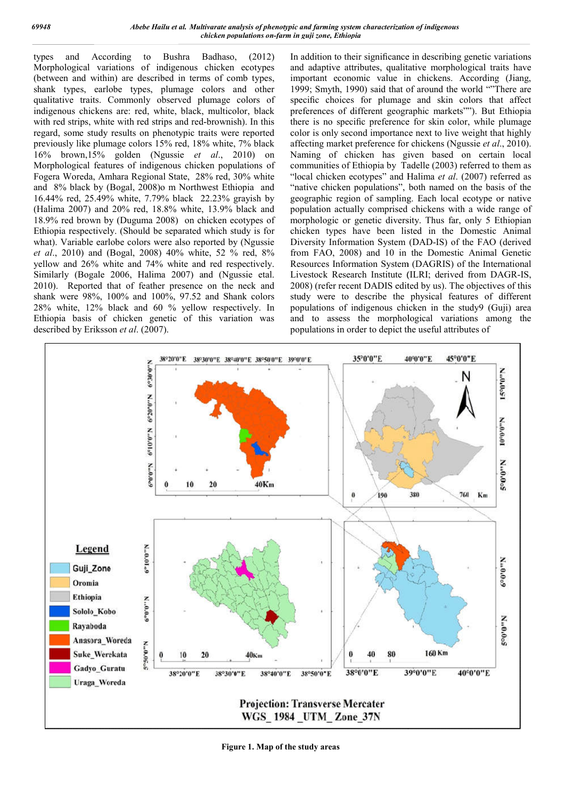types and According to Bushra Badhaso, (2012) Morphological variations of indigenous chicken ecotypes (between and within) are described in terms of comb types, shank types, earlobe types, plumage colors and other qualitative traits. Commonly observed plumage colors of indigenous chickens are: red, white, black, multicolor, black with red strips, white with red strips and red-brownish). In this regard, some study results on phenotypic traits were reported previously like plumage colors 15% red, 18% white, 7% black 16% brown,15% golden (Ngussie *et al* ., 2010) on Morphological features of indigenous chicken populations of Fogera Woreda, Amhara Regional State, 28% red, 30% white and 8% black by (Bogal, 2008)o m Northwest Ethiopia and 16.44% red, 25.49% white, 7.79% black 22.23% grayish by (Halima 2007) and 20% red, 18.8% white, 13.9% black and 18.9% red brown by (Duguma 2008) on chicken ecotypes of Ethiopia respectively. (Should be separated which study is for what). Variable earlobe colors were also reported by (Ngussie *et al*., 2010) and (Bogal, 2008) 40% white, 52 % red, 8% yellow and 26% white and 74% white and red respective Similarly (Bogale 2006, Halima 2007) and (Ngussie etal. 2010). Reported that of feather presence on the neck and shank were 98%, 100% and 100%, 97.52 and Shank colors 28% white, 12% black and 60 % yellow respectively. In Ethiopia basis of chicken genetic of this variation was described by Eriksson *et al*. (2007). Bogal, 2008)o m Northwest Ethiopia and<br>6 white, 7.79% black 22.23% grayish by<br>20% red, 18.8% white, 13.9% black and<br>9 (Duguma 2008) on chicken ecotypes of<br>9. (Should be separated which study is for<br>10. (Should be separated

Bashra Badhaso, (2012) In addition to their significance in describing genetic variations<br>
digitarous chicken ecotypes and adaptive attributes, qualitative morphological trais have<br>
din terms of comb types, important econ and adaptive attributes, qualitative morphological traits have important economic value in chickens. According (Jiang, 1999; Smyth, 1990) said that of around the world ""There are specific choices for plumage and skin colors that affect preferences of different geographic markets""). But Ethiopia there is no specific preference for skin color, while plumage color is only second importance next to live weight that highly affecting market preference for chickens (Ngussie et al., 2010). Naming of chicken has given based on certain local Naming of chicken has given based on certain local communities of Ethiopia by Tadelle (2003) referred to them as "local chicken ecotypes" and Halima *et al*. (2007) referred as "native chicken populations", both named on the basis of the geographic region of sampling. Each local ecotype or native population actually comprised chickens with a wide range of morphologic or genetic diversity. Thus far, only 5 Ethiopian chicken types have been listed in the Domestic Animal Diversity Information System (DAD-IS) of the FAO (derived from FAO, 2008) and 10 in the Domestic Animal Genetic Resources Information System (DAGRIS) of the International from FAO, 2008) and 10 in the Domestic Animal Genetic<br>Resources Information System (DAGRIS) of the International<br>Livestock Research Institute (ILRI; derived from DAGR-IS, 2008) (refer recent DADIS edited by us). The objectives of this study were to describe the physical features of different populations of indigenous chicken in the study9 (Guji) area and to assess the morphological variations among the populations in order to depict the useful attri to their significance in describing genetic variations<br>ve attributes, qualitative morphological traits have<br>economic value in chickens. According (Jiang,<br>th, 1990) said that of around the world "There are<br>oices for plumage region of sampling. Each local ecotype or native<br>actually comprised chickens with a wide range of<br>c or genetic diversity. Thus far, only 5 Ethiopian<br>bes have been listed in the Domestic Animal<br>formation System (DAD-IS) of recent DADIS edited by us). The objectives of this<br>to describe the physical features of different<br>of indigenous chicken in the study9 (Guji) area<br>sess the morphological variations among the<br>in order to depict the useful at

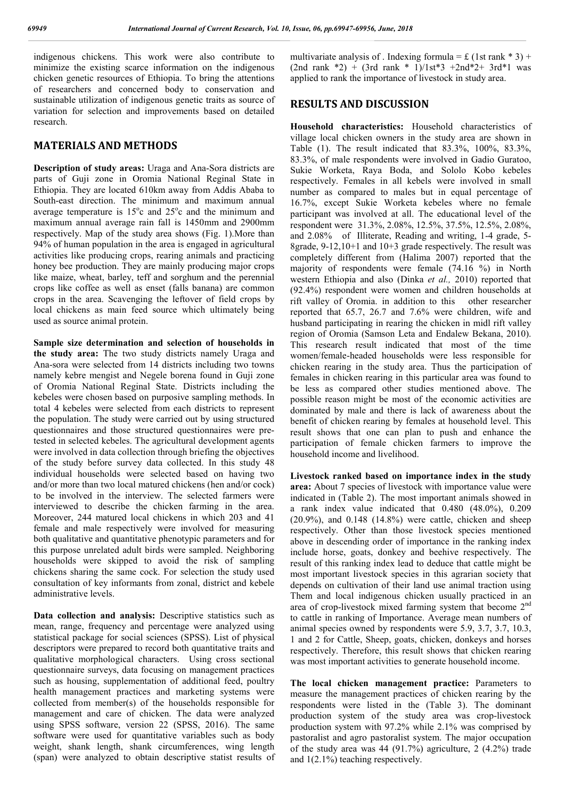indigenous chickens. This work were also contribute to minimize the existing scarce information on the indigenous chicken genetic resources of Ethiopia. To bring the attentions of researchers and concerned body to conservation and sustainable utilization of indigenous genetic traits as source of variation for selection and improvements based on detailed research.

#### **MATERIALS AND METHODS**

**Description of study areas:** Uraga and Ana-Sora districts are parts of Guji zone in Oromia National Reginal State in Ethiopia. They are located 610km away from Addis Ababa to South-east direction. The minimum and maximum annual average temperature is  $15^{\circ}$ c and  $25^{\circ}$ c and the minimum and maximum annual average rain fall is 1450mm and 2900mm respectively. Map of the study area shows (Fig. 1).More than 94% of human population in the area is engaged in agricultural activities like producing crops, rearing animals and practicing honey bee production. They are mainly producing major crops like maize, wheat, barley, teff and sorghum and the perennial crops like coffee as well as enset (falls banana) are common crops in the area. Scavenging the leftover of field crops by local chickens as main feed source which ultimately being used as source animal protein.

**Sample size determination and selection of households in the study area:** The two study districts namely Uraga and Ana-sora were selected from 14 districts including two towns namely kebre mengist and Negele borena found in Guji zone of Oromia National Reginal State. Districts including the kebeles were chosen based on purposive sampling methods. In total 4 kebeles were selected from each districts to represent the population. The study were carried out by using structured questionnaires and those structured questionnaires were pretested in selected kebeles. The agricultural development agents were involved in data collection through briefing the objectives of the study before survey data collected. In this study 48 individual households were selected based on having two and/or more than two local matured chickens (hen and/or cock) to be involved in the interview. The selected farmers were interviewed to describe the chicken farming in the area. Moreover, 244 matured local chickens in which 203 and 41 female and male respectively were involved for measuring both qualitative and quantitative phenotypic parameters and for this purpose unrelated adult birds were sampled. Neighboring households were skipped to avoid the risk of sampling chickens sharing the same cock. For selection the study used consultation of key informants from zonal, district and kebele administrative levels.

**Data collection and analysis:** Descriptive statistics such as mean, range, frequency and percentage were analyzed using statistical package for social sciences (SPSS). List of physical descriptors were prepared to record both quantitative traits and qualitative morphological characters. Using cross sectional questionnaire surveys, data focusing on management practices such as housing, supplementation of additional feed, poultry health management practices and marketing systems were collected from member(s) of the households responsible for management and care of chicken. The data were analyzed using SPSS software, version 22 (SPSS, 2016). The same software were used for quantitative variables such as body weight, shank length, shank circumferences, wing length (span) were analyzed to obtain descriptive statist results of multivariate analysis of . Indexing formula =  $\pounds$  (1st rank \* 3) +  $(2nd \text{ rank } *2) + (3rd \text{ rank } *1)/1$ st<sup>\*</sup>3 +2nd<sup>\*</sup>2+ 3rd<sup>\*</sup>1 was applied to rank the importance of livestock in study area.

#### **RESULTS AND DISCUSSION**

**Household characteristics:** Household characteristics of village local chicken owners in the study area are shown in Table (1). The result indicated that 83.3%, 100%, 83.3%, 83.3%, of male respondents were involved in Gadio Guratoo, Sukie Worketa, Raya Boda, and Sololo Kobo kebeles respectively. Females in all kebels were involved in small number as compared to males but in equal percentage of 16.7%, except Sukie Worketa kebeles where no female participant was involved at all. The educational level of the respondent were 31.3%, 2.08%, 12.5%, 37.5%, 12.5%, 2.08%, and 2.08% of Illiterate, Reading and writing, 1-4 grade, 5- 8grade, 9-12,10+1 and 10+3 grade respectively. The result was completely different from (Halima 2007) reported that the majority of respondents were female (74.16 %) in North western Ethiopia and also (Dinka *et al.,* 2010) reported that (92.4%) respondent were women and children households at rift valley of Oromia. in addition to this other researcher reported that 65.7, 26.7 and 7.6% were children, wife and husband participating in rearing the chicken in midl rift valley region of Oromia (Samson Leta and Endalew Bekana, 2010). This research result indicated that most of the time women/female-headed households were less responsible for chicken rearing in the study area. Thus the participation of females in chicken rearing in this particular area was found to be less as compared other studies mentioned above. The possible reason might be most of the economic activities are dominated by male and there is lack of awareness about the benefit of chicken rearing by females at household level. This result shows that one can plan to push and enhance the participation of female chicken farmers to improve the household income and livelihood.

**Livestock ranked based on importance index in the study area:** About 7 species of livestock with importance value were indicated in (Table 2). The most important animals showed in a rank index value indicated that 0.480 (48.0%), 0.209  $(20.9\%)$ , and  $0.148$   $(14.8\%)$  were cattle, chicken and sheep respectively. Other than those livestock species mentioned above in descending order of importance in the ranking index include horse, goats, donkey and beehive respectively. The result of this ranking index lead to deduce that cattle might be most important livestock species in this agrarian society that depends on cultivation of their land use animal traction using Them and local indigenous chicken usually practiced in an area of crop-livestock mixed farming system that become 2nd to cattle in ranking of Importance. Average mean numbers of animal species owned by respondents were 5.9, 3.7, 3.7, 10.3, 1 and 2 for Cattle, Sheep, goats, chicken, donkeys and horses respectively. Therefore, this result shows that chicken rearing was most important activities to generate household income.

**The local chicken management practice:** Parameters to measure the management practices of chicken rearing by the respondents were listed in the (Table 3). The dominant production system of the study area was crop-livestock production system with 97.2% while 2.1% was comprised by pastoralist and agro pastoralist system. The major occupation of the study area was 44 (91.7%) agriculture, 2 (4.2%) trade and 1(2.1%) teaching respectively.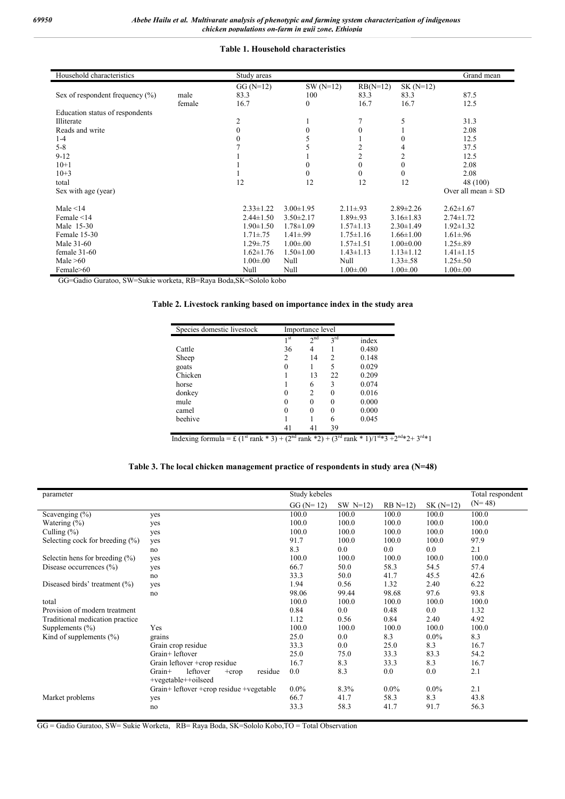#### **Table 1. Household characteristics**

| Household characteristics          |        | Study areas      |                  |                 |                 | Grand mean             |
|------------------------------------|--------|------------------|------------------|-----------------|-----------------|------------------------|
|                                    |        | $GG(N=12)$       | $SW(N=12)$       | $RB(N=12)$      | $SK(N=12)$      |                        |
| Sex of respondent frequency $(\%)$ | male   | 83.3             | 100              | 83.3            | 83.3            | 87.5                   |
|                                    | female | 16.7             | $\boldsymbol{0}$ | 16.7            | 16.7            | 12.5                   |
| Education status of respondents    |        |                  |                  |                 |                 |                        |
| Illiterate                         |        | 2                |                  | 7               | 5               | 31.3                   |
| Reads and write                    |        | $\mathbf{0}$     | $\boldsymbol{0}$ | $\mathbf{0}$    |                 | 2.08                   |
| $1-4$                              |        | $\boldsymbol{0}$ | 5                |                 |                 | 12.5                   |
| $5 - 8$                            |        |                  |                  | $\overline{c}$  |                 | 37.5                   |
| $9-12$                             |        |                  |                  | $\overline{c}$  | 2               | 12.5                   |
| $10+1$                             |        |                  | 0                | $\mathbf{0}$    | $\theta$        | 2.08                   |
| $10+3$                             |        |                  | $\theta$         | $\theta$        | $\Omega$        | 2.08                   |
| total                              |        | 12               | 12               | 12              | 12              | 48 (100)               |
| Sex with age (year)                |        |                  |                  |                 |                 | Over all mean $\pm$ SD |
| Male $\leq$ 14                     |        | $2.33 \pm 1.22$  | $3.00 \pm 1.95$  | $2.11 \pm .93$  | $2.89 \pm 2.26$ | $2.62 \pm 1.67$        |
| Female $\leq$ 14                   |        | $2.44 \pm 1.50$  | $3.50 \pm 2.17$  | $1.89 \pm .93$  | $3.16 \pm 1.83$ | $2.74 \pm 1.72$        |
| Male 15-30                         |        | $1.90 \pm 1.50$  | $1.78 \pm 1.09$  | $1.57 \pm 1.13$ | $2.30 \pm 1.49$ | $1.92 \pm 1.32$        |
| Female 15-30                       |        | $1.71 \pm .75$   | $1.41 \pm .99$   | $1.75 \pm 1.16$ | $1.66 \pm 1.00$ | $1.61 \pm .96$         |
| Male 31-60                         |        | $1.29 \pm .75$   | $1.00 \pm 0.00$  | $1.57 \pm 1.51$ | $1.00 \pm 0.00$ | $1.25 \pm .89$         |
| female $31-60$                     |        | $1.62 \pm 1.76$  | $1.50 \pm 1.00$  | $1.43 \pm 1.13$ | $1.13 \pm 1.12$ | $1.41 \pm 1.15$        |
| Male $>60$                         |        | $1.00 \pm 0.00$  | Null             | Null            | $1.33 \pm .58$  | $1.25 \pm .50$         |
| Female>60                          |        | Null             | Null             | $1.00 \pm .00$  | $1.00 \pm .00$  | $1.00 \pm .00$         |

GG=Gadio Guratoo, SW=Sukie worketa, RB=Raya Boda,SK=Sololo kobo

#### **Table 2. Livestock ranking based on importance index in the study area**

| Species domestic livestock | Importance level |                 |          |       |  |  |
|----------------------------|------------------|-----------------|----------|-------|--|--|
|                            | 1 <sub>st</sub>  | 2 <sup>nd</sup> | $3^{rd}$ | index |  |  |
| Cattle                     | 36               | 4               |          | 0.480 |  |  |
| Sheep                      | 2                | 14              | 2        | 0.148 |  |  |
| goats                      |                  |                 | 5        | 0.029 |  |  |
| Chicken                    |                  | 13              | 22       | 0.209 |  |  |
| horse                      |                  | 6               | 3        | 0.074 |  |  |
| donkey                     |                  | 2               | 0        | 0.016 |  |  |
| mule                       |                  | 0               | 0        | 0.000 |  |  |
| camel                      |                  | 0               | 0        | 0.000 |  |  |
| beehive                    |                  |                 | 6        | 0.045 |  |  |
|                            |                  | 41              | 39       |       |  |  |

Indexing formula = £ (1<sup>st</sup> rank \* 3) + (2<sup>nd</sup> rank \* 2) + (3<sup>rd</sup> rank \* 1)/1<sup>st</sup>\*3 +2<sup>nd</sup>\*2+ 3<sup>rd</sup>\*1

#### **Table 3. The local chicken management practice of respondents in study area (N=48)**

|                                    |                                             |             |               |           |            | Total respondent |  |
|------------------------------------|---------------------------------------------|-------------|---------------|-----------|------------|------------------|--|
| parameter                          |                                             |             | Study kebeles |           |            |                  |  |
|                                    |                                             | $GG (N=12)$ | SW $N=12$ )   | $RB N=12$ | $SK(N=12)$ | $(N=48)$         |  |
| Scavenging $(\% )$                 | yes                                         | 100.0       | 100.0         | 100.0     | 100.0      | 100.0            |  |
| Watering $(\% )$                   | yes                                         | 100.0       | 100.0         | 100.0     | 100.0      | 100.0            |  |
| Culling $(\%)$                     | yes                                         | 100.0       | 100.0         | 100.0     | 100.0      | 100.0            |  |
| Selecting cock for breeding $(\%)$ | yes                                         | 91.7        | 100.0         | 100.0     | 100.0      | 97.9             |  |
|                                    | no                                          | 8.3         | 0.0           | 0.0       | 0.0        | 2.1              |  |
| Selectin hens for breeding $(\%)$  | yes                                         | 100.0       | 100.0         | 100.0     | 100.0      | 100.0            |  |
| Disease occurrences $(\% )$        | yes                                         | 66.7        | 50.0          | 58.3      | 54.5       | 57.4             |  |
|                                    | no                                          | 33.3        | 50.0          | 41.7      | 45.5       | 42.6             |  |
| Diseased birds' treatment (%)      | yes                                         | 1.94        | 0.56          | 1.32      | 2.40       | 6.22             |  |
|                                    | no                                          | 98.06       | 99.44         | 98.68     | 97.6       | 93.8             |  |
| total                              |                                             | 100.0       | 100.0         | 100.0     | 100.0      | 100.0            |  |
| Provision of modern treatment      |                                             | 0.84        | 0.0           | 0.48      | 0.0        | 1.32             |  |
| Traditional medication practice    |                                             | 1.12        | 0.56          | 0.84      | 2.40       | 4.92             |  |
| Supplements $(\% )$                | Yes                                         | 100.0       | 100.0         | 100.0     | 100.0      | 100.0            |  |
| Kind of supplements $(\% )$        | grains                                      | 25.0        | 0.0           | 8.3       | $0.0\%$    | 8.3              |  |
|                                    | Grain crop residue                          | 33.3        | 0.0           | 25.0      | 8.3        | 16.7             |  |
|                                    | Grain+leftover                              | 25.0        | 75.0          | 33.3      | 83.3       | 54.2             |  |
|                                    | Grain leftover +crop residue                | 16.7        | 8.3           | 33.3      | 8.3        | 16.7             |  |
|                                    | leftover<br>$Grain+$<br>residue<br>$+$ crop | 0.0         | 8.3           | 0.0       | 0.0        | 2.1              |  |
|                                    | +vegetable++oilseed                         |             |               |           |            |                  |  |
|                                    | Grain+ leftover +crop residue +vegetable    | $0.0\%$     | 8.3%          | $0.0\%$   | $0.0\%$    | 2.1              |  |
| Market problems                    | yes                                         | 66.7        | 41.7          | 58.3      | 8.3        | 43.8             |  |
|                                    | no                                          | 33.3        | 58.3          | 41.7      | 91.7       | 56.3             |  |
|                                    |                                             |             |               |           |            |                  |  |

GG = Gadio Guratoo, SW= Sukie Worketa, RB= Raya Boda, SK=Sololo Kobo,TO = Total Observation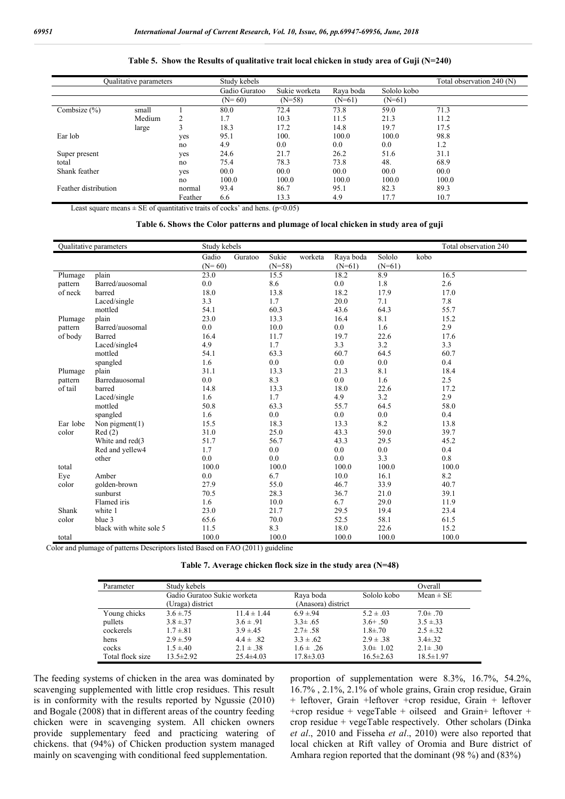#### **Table 5. Show the Results of qualitative trait local chicken in study area of Guji (N=240)**

| <b>Oualitative parameters</b> |        | Study kebels |               | Total observation 240 (N) |           |             |       |
|-------------------------------|--------|--------------|---------------|---------------------------|-----------|-------------|-------|
|                               |        |              | Gadio Guratoo | Sukie worketa             | Raya boda | Sololo kobo |       |
|                               |        |              | $(N=60)$      | $(N=58)$                  | $(N=61)$  | $(N=61)$    |       |
| Combsize $(\% )$              | small  |              | 80.0          | 72.4                      | 73.8      | 59.0        | 71.3  |
|                               | Medium | 2            | 1.7           | 10.3                      | 11.5      | 21.3        | 11.2  |
|                               | large  | 3            | 18.3          | 17.2                      | 14.8      | 19.7        | 17.5  |
| Ear lob                       |        | yes          | 95.1          | 100.                      | 100.0     | 100.0       | 98.8  |
|                               |        | no           | 4.9           | 0.0                       | 0.0       | 0.0         | 1.2   |
| Super present                 |        | yes          | 24.6          | 21.7                      | 26.2      | 51.6        | 31.1  |
| total                         |        | no           | 75.4          | 78.3                      | 73.8      | 48.         | 68.9  |
| Shank feather                 |        | yes          | 00.0          | 00.0                      | 00.0      | 00.0        | 00.0  |
|                               |        | no           | 100.0         | 100.0                     | 100.0     | 100.0       | 100.0 |
| Feather distribution          |        | normal       | 93.4          | 86.7                      | 95.1      | 82.3        | 89.3  |
|                               |        | Feather      | 6.6           | 13.3                      | 4.9       | 17.7        | 10.7  |

Least square means  $\pm$  SE of quantitative traits of cocks' and hens. (p<0.05)

#### **Table 6. Shows the Color patterns and plumage of local chicken in study area of guji**

|          | Qualitative parameters  | Study kebels      |         | Total observation 240 |         |                       |                    |      |       |
|----------|-------------------------|-------------------|---------|-----------------------|---------|-----------------------|--------------------|------|-------|
|          |                         | Gadio<br>$(N=60)$ | Guratoo | Sukie<br>$(N=58)$     | worketa | Raya boda<br>$(N=61)$ | Sololo<br>$(N=61)$ | kobo |       |
| Plumage  | plain                   | 23.0              |         | 15.5                  |         | 18.2                  | 8.9                |      | 16.5  |
| pattern  | Barred/auosomal         | 0.0               |         | 8.6                   |         | 0.0                   | 1.8                |      | 2.6   |
| of neck  | barred                  | 18.0              |         | 13.8                  |         | 18.2                  | 17.9               |      | 17.0  |
|          | Laced/single            | 3.3               |         | 1.7                   |         | 20.0                  | 7.1                |      | 7.8   |
|          | mottled                 | 54.1              |         | 60.3                  |         | 43.6                  | 64.3               |      | 55.7  |
| Plumage  | plain                   | 23.0              |         | 13.3                  |         | 16.4                  | 8.1                |      | 15.2  |
| pattern  | Barred/auosomal         | 0.0               |         | 10.0                  |         | 0.0                   | 1.6                |      | 2.9   |
| of body  | Barred                  | 16.4              |         | 11.7                  |         | 19.7                  | 22.6               |      | 17.6  |
|          | Laced/single4           | 4.9               |         | 1.7                   |         | 3.3                   | 3.2                |      | 3.3   |
|          | mottled                 | 54.1              |         | 63.3                  |         | 60.7                  | 64.5               |      | 60.7  |
|          | spangled                | 1.6               |         | 0.0                   |         | 0.0                   | 0.0                |      | 0.4   |
| Plumage  | plain                   | 31.1              |         | 13.3                  |         | 21.3                  | 8.1                |      | 18.4  |
| pattern  | Barredauosomal          | 0.0               |         | 8.3                   |         | 0.0                   | 1.6                |      | 2.5   |
| of tail  | barred                  | 14.8              |         | 13.3                  |         | 18.0                  | 22.6               |      | 17.2  |
|          | Laced/single            | 1.6               |         | 1.7                   |         | 4.9                   | 3.2                |      | 2.9   |
|          | mottled                 | 50.8              |         | 63.3                  |         | 55.7                  | 64.5               |      | 58.0  |
|          | spangled                | 1.6               |         | 0.0                   |         | 0.0                   | 0.0                |      | 0.4   |
| Ear lobe | Non pigment $(1)$       | 15.5              |         | 18.3                  |         | 13.3                  | 8.2                |      | 13.8  |
| color    | Red(2)                  | 31.0              |         | 25.0                  |         | 43.3                  | 59.0               |      | 39.7  |
|          | White and red(3)        | 51.7              |         | 56.7                  |         | 43.3                  | 29.5               |      | 45.2  |
|          | Red and yellew4         | 1.7               |         | 0.0                   |         | 0.0                   | 0.0                |      | 0.4   |
|          | other                   | 0.0               |         | 0.0                   |         | 0.0                   | 3.3                |      | 0.8   |
| total    |                         | 100.0             |         | 100.0                 |         | 100.0                 | 100.0              |      | 100.0 |
| Eye      | Amber                   | 0.0               |         | 6.7                   |         | 10.0                  | 16.1               |      | 8.2   |
| color    | golden-brown            | 27.9              |         | 55.0                  |         | 46.7                  | 33.9               |      | 40.7  |
|          | sunburst                | 70.5              |         | 28.3                  |         | 36.7                  | 21.0               |      | 39.1  |
|          | Flamed iris             | 1.6               |         | 10.0                  |         | 6.7                   | 29.0               |      | 11.9  |
| Shank    | white 1                 | 23.0              |         | 21.7                  |         | 29.5                  | 19.4               |      | 23.4  |
| color    | blue 3                  | 65.6              |         | 70.0                  |         | 52.5                  | 58.1               |      | 61.5  |
|          | black with white sole 5 | 11.5              |         | 8.3                   |         | 18.0                  | 22.6               |      | 15.2  |
| total    |                         | 100.0             |         | 100.0                 |         | 100.0                 | 100.0              |      | 100.0 |

Color and plumage of patterns Descriptors listed Based on FAO (2011) guideline

| Table 7. Average chicken flock size in the study area $(N=48)$ |  |  |
|----------------------------------------------------------------|--|--|
|                                                                |  |  |

| Parameter        | Study kebels                |                 |                    |                 | Overall         |
|------------------|-----------------------------|-----------------|--------------------|-----------------|-----------------|
|                  | Gadio Guratoo Sukie worketa |                 | Raya boda          | Sololo kobo     | $Mean \pm SE$   |
|                  | (Uraga) district            |                 | (Anasora) district |                 |                 |
| Young chicks     | $3.6 \pm .75$               | $11.4 \pm 1.44$ | $6.9 \pm 94$       | $5.2 \pm .03$   | $7.0 \pm .70$   |
| pullets          | $3.8 \pm 37$                | $3.6 \pm .91$   | $3.3 \pm .65$      | $3.6 + .50$     | $3.5 \pm 33$    |
| cockerels        | $1.7 \pm .81$               | $3.9 \pm 45$    | $2.7 \pm .58$      | $1.8 + .70$     | $2.5 \pm 32$    |
| hens             | $2.9 \pm .59$               | $4.4 \pm .82$   | $3.3 \pm .62$      | $2.9 \pm .38$   | $3.4 \pm .32$   |
| cocks            | $1.5 \pm 40$                | $2.1 \pm .38$   | $1.6 \pm .26$      | $3.0 \pm 1.02$  | $2.1 \pm .30$   |
| Total flock size | $13.5 \pm 2.92$             | $25.4\pm4.03$   | $17.8 \pm 3.03$    | $16.5 \pm 2.63$ | $18.5 \pm 1.97$ |

The feeding systems of chicken in the area was dominated by scavenging supplemented with little crop residues. This result is in conformity with the results reported by Ngussie (2010) and Bogale (2008) that in different areas of the country feeding chicken were in scavenging system. All chicken owners provide supplementary feed and practicing watering of chickens. that (94%) of Chicken production system managed mainly on scavenging with conditional feed supplementation.

proportion of supplementation were 8.3%, 16.7%, 54.2%, 16.7% , 2.1%, 2.1% of whole grains, Grain crop residue, Grain + leftover, Grain +leftover +crop residue, Grain + leftover +crop residue + vegeTable + oilseed and Grain+ leftover + crop residue + vegeTable respectively. Other scholars (Dinka *et al*., 2010 and Fisseha *et al*., 2010) were also reported that local chicken at Rift valley of Oromia and Bure district of Amhara region reported that the dominant (98 %) and (83%)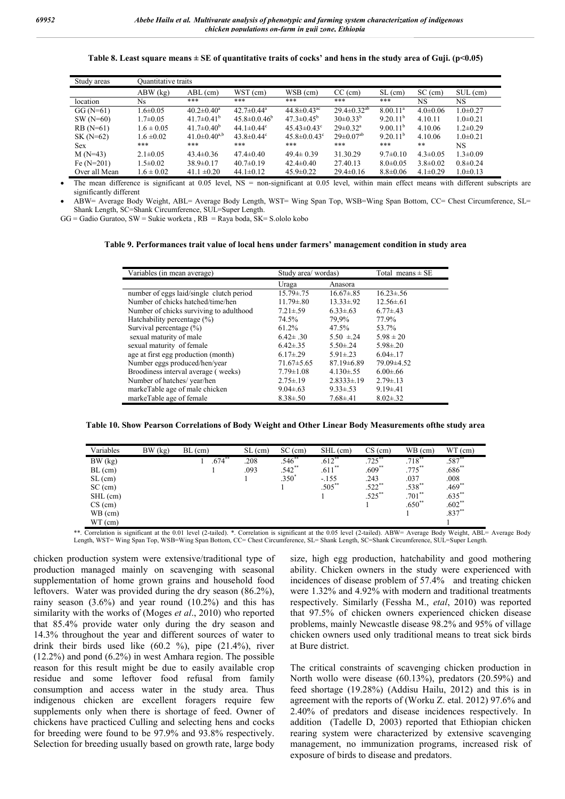#### **Table 8. Least square means ± SE of quantitative traits of cocks' and hens in the study area of Guji. (p<0.05)**

| Study areas   | Ouantitative traits |                                |                              |                               |                             |                      |                |                |
|---------------|---------------------|--------------------------------|------------------------------|-------------------------------|-----------------------------|----------------------|----------------|----------------|
|               | $ABW$ (kg)          | $ABL$ (cm)                     | WST (cm)                     | WSB (cm)                      | $CC$ (cm)                   | $SL$ (cm)            | $SC$ (cm)      | $SUL$ (cm)     |
| location      | Ns                  | ***                            | ***                          | ***                           | ***                         | ***                  | NS             | NS             |
| $GG(N=61)$    | $1.6 \pm 0.05$      | $40.2 \pm 0.40^a$              | $42.7 \pm 0.44$ <sup>a</sup> | 44.8 $\pm$ 0.43 <sup>ac</sup> | $29.4 \pm 0.32^{ab}$        | $8.00 \cdot 11^a$    | $4.0 \pm 0.06$ | $1.0 \pm 0.27$ |
| $SW(N=60)$    | $1.7 \pm 0.05$      | $41.7 \pm 0.41^{\mathrm{b}}$   | $45.8 \pm 0.0.46^{\circ}$    | $47.3 \pm 0.45^{\circ}$       | $30\pm0.33^{b}$             | 9.20.11 <sup>b</sup> | 4.10.11        | $1.0 \pm 0.21$ |
| $RB(N=61)$    | $1.6 \pm 0.05$      | $41.7 \pm 0.40^b$              | 44.1 $\pm 0.44^c$            | $45.43\pm0.43^{\circ}$        | $29 \pm 0.32$ <sup>a</sup>  | $9.00 \cdot 11^{b}$  | 4.10.06        | $1.2 \pm 0.29$ |
| $SK(N=62)$    | $1.6 \pm 0.02$      | 41.0 $\pm$ 0.40 <sup>a,b</sup> | $43.8 \pm 0.44$ <sup>c</sup> | $45.8 \pm 0.043$ <sup>c</sup> | $29 \pm 0.07$ <sup>ab</sup> | 9.20.11 <sup>b</sup> | 4.10.06        | $1.0\pm 0.21$  |
| <b>Sex</b>    | ***                 | ***                            | ***                          | ***                           | ***                         | ***                  | **             | NS             |
| $M(N=43)$     | $2.1 \pm 0.05$      | $43.4 \pm 0.36$                | $47.4 \pm 0.40$              | $49.4 \pm 0.39$               | 31.30.29                    | $9.7 \pm 0.10$       | $4.3 \pm 0.05$ | $1.3 \pm 0.09$ |
| Fe $(N=201)$  | $1.5 \pm 0.02$      | $38.9 \pm 0.17$                | $40.7 \pm 0.19$              | $42.4 \pm 0.40$               | 27.40.13                    | $8.0 \pm 0.05$       | $3.8 \pm 0.02$ | $0.8 \pm 0.24$ |
| Over all Mean | $1.6 \pm 0.02$      | $41.1 \pm 0.20$                | $44.1 \pm 0.12$              | $45.9 \pm 0.22$               | $29.4 \pm 0.16$             | $8.8 \pm 0.06$       | $4.1 \pm 0.29$ | $1.0 \pm 0.13$ |

The mean difference is significant at 0.05 level, NS = non-significant at 0.05 level, within main effect means with different subscripts are significantly different

 ABW= Average Body Weight, ABL= Average Body Length, WST= Wing Span Top, WSB=Wing Span Bottom, CC= Chest Circumference, SL= Shank Length, SC=Shank Circumference, SUL=Super Length.

 $GG =$  Gadio Guratoo,  $SW =$  Sukie worketa,  $RB =$  Raya boda,  $SK =$  S.ololo kobo

#### **Table 9. Performances trait value of local hens under farmers' management condition in study area**

| Variables (in mean average)              | Study area/ wordas) |                 | Total means $\pm$ SE |
|------------------------------------------|---------------------|-----------------|----------------------|
|                                          | Uraga               | Anasora         |                      |
| number of eggs laid/single clutch period | $15.79 \pm 75$      | $16.67 \pm .85$ | $16.23 \pm .56$      |
| Number of chicks hatched/time/hen        | $11.79 \pm 0.80$    | $13.33 \pm .92$ | $12.56 \pm 61$       |
| Number of chicks surviving to adulthood  | $7.21 \pm .59$      | $6.33 \pm 63$   | $6.77 \pm 43$        |
| Hatchability percentage (%)              | 74.5%               | 79.9%           | 77.9%                |
| Survival percentage (%)                  | $61.2\%$            | 47.5%           | 53.7%                |
| sexual maturity of male                  | $6.42 \pm .30$      | $5.50 \pm 24$   | $5.98 \pm 20$        |
| sexual maturity of female                | $6.42 \pm .35$      | $5.50 \pm 24$   | $5.98 \pm 20$        |
| age at first egg production (month)      | $6.17{\pm}.29$      | $5.91 \pm .23$  | $6.04 \pm 17$        |
| Number eggs produced/hen/year            | $71.67 \pm 5.65$    | $87.19\pm 6.89$ | 79.09 ± 4.52         |
| Broodiness interval average (weeks)      | $7.79 \pm 1.08$     | $4.130 \pm .55$ | $6.00 \pm .66$       |
| Number of hatches/year/hen               | $2.75 \pm .19$      | $2.8333 \pm 19$ | $2.79 \pm .13$       |
| markeTable age of male chicken           | $9.04 \pm .63$      | $9.33 \pm .53$  | $9.19 \pm .41$       |
| markeTable age of female                 | $8.38 \pm 0.50$     | $7.68{\pm}.41$  | $8.02 \pm .32$       |

**Table 10. Show Pearson Correlations of Body Weight and Other Linear Body Measurements ofthe study area**

| Variables  | BW (kg) | $BL$ (cm)   | $SL$ (cm) | $SC$ (cm)   | $SHL$ (cm) | $CS$ (cm) | WB (cm)   | $WT$ (cm)   |
|------------|---------|-------------|-----------|-------------|------------|-----------|-----------|-------------|
| BW (kg)    |         | $.674^{**}$ | .208      | $.546^{**}$ | $.612***$  | $.725***$ | $.718$ ** | $.587^{**}$ |
| $BL$ (cm)  |         |             | .093      | $.542**$    | $.611***$  | $.609**$  | $.775***$ | $.686**$    |
| SL (cm)    |         |             |           | $.350*$     | $-155$     | .243      | .037      | .008        |
| $SC$ (cm)  |         |             |           |             | $.505***$  | $.522**$  | $.538**$  | $.469**$    |
| $SHL$ (cm) |         |             |           |             |            | $.525***$ | $.701**$  | $.635***$   |
| $CS$ (cm)  |         |             |           |             |            |           | $.650**$  | $.602**$    |
| WB (cm)    |         |             |           |             |            |           |           | $.837**$    |
| $WT$ (cm)  |         |             |           |             |            |           |           |             |

\*\*. Correlation is significant at the 0.01 level (2-tailed). \*. Correlation is significant at the 0.05 level (2-tailed). ABW= Average Body Weight, ABL= Average Body Length, WST= Wing Span Top, WSB=Wing Span Bottom, CC= Chest Circumference, SL= Shank Length, SC=Shank Circumference, SUL=Super Length.

chicken production system were extensive/traditional type of production managed mainly on scavenging with seasonal supplementation of home grown grains and household food leftovers. Water was provided during the dry season (86.2%), rainy season  $(3.6\%)$  and year round  $(10.2\%)$  and this has similarity with the works of (Moges *et al*., 2010) who reported that 85.4% provide water only during the dry season and 14.3% throughout the year and different sources of water to drink their birds used like (60.2 %), pipe (21.4%), river (12.2%) and pond (6.2%) in west Amhara region. The possible reason for this result might be due to easily available crop residue and some leftover food refusal from family consumption and access water in the study area. Thus indigenous chicken are excellent foragers require few supplements only when there is shortage of feed. Owner of chickens have practiced Culling and selecting hens and cocks for breeding were found to be 97.9% and 93.8% respectively. Selection for breeding usually based on growth rate, large body

size, high egg production, hatchability and good mothering ability. Chicken owners in the study were experienced with incidences of disease problem of 57.4% and treating chicken were 1.32% and 4.92% with modern and traditional treatments respectively. Similarly (Fessha M., *etal*, 2010) was reported that 97.5% of chicken owners experienced chicken disease problems, mainly Newcastle disease 98.2% and 95% of village chicken owners used only traditional means to treat sick birds at Bure district.

The critical constraints of scavenging chicken production in North wollo were disease (60.13%), predators (20.59%) and feed shortage (19.28%) (Addisu Hailu, 2012) and this is in agreement with the reports of (Worku Z. etal. 2012) 97.6% and 2.40% of predators and disease incidences respectively. In addition (Tadelle D, 2003) reported that Ethiopian chicken rearing system were characterized by extensive scavenging management, no immunization programs, increased risk of exposure of birds to disease and predators.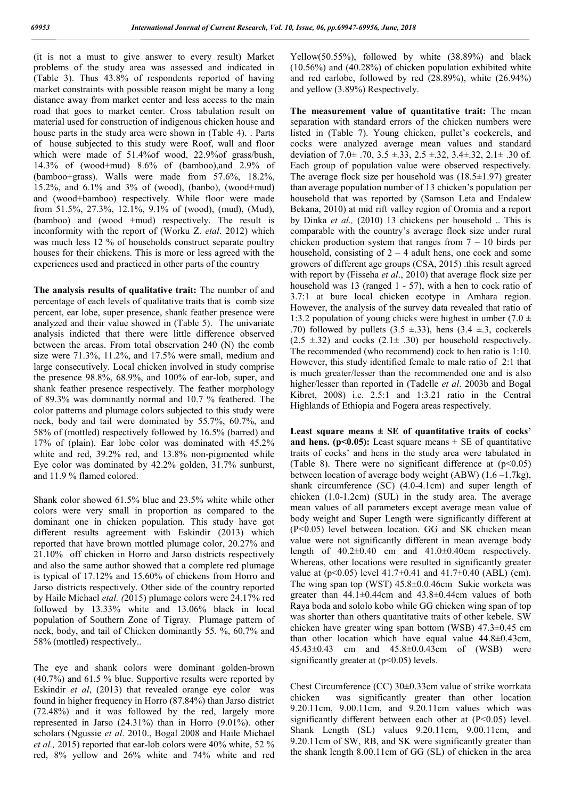(it is not a must to give answer to every result) Market problems of the study area was assessed and indicated in (Table 3). Thus 43.8% of respondents reported of having market constraints with possible reason might be many a long distance away from market center and less access to the main road that goes to market center. Cross tabulation result on material used for construction of indigenous chicken house and house parts in the study area were shown in (Table 4). . Parts of house subjected to this study were Roof, wall and floor which were made of 51.4%of wood, 22.9%of grass/bush, 14.3% of (wood+mud) 8.6% of (bamboo),and 2.9% of (bamboo+grass). Walls were made from 57.6%, 18.2%, 15.2%, and 6.1% and 3% of (wood), (banbo), (wood+mud) and (wood+bamboo) respectively. While floor were made from 51.5%, 27.3%, 12.1%, 9.1% of (wood), (mud), (Mud), (bamboo) and (wood +mud) respectively. The result is inconformity with the report of (Worku Z. *etal*. 2012) which was much less 12 % of households construct separate poultry houses for their chickens. This is more or less agreed with the experiences used and practiced in other parts of the country

**The analysis results of qualitative trait:** The number of and percentage of each levels of qualitative traits that is comb size percent, ear lobe, super presence, shank feather presence were analyzed and their value showed in (Table 5). The univariate analysis indicted that there were little difference observed between the areas. From total observation 240 (N) the comb size were 71.3%, 11.2%, and 17.5% were small, medium and large consecutively. Local chicken involved in study comprise the presence 98.8%, 68.9%, and 100% of ear-lob, super, and shank feather presence respectively. The feather morphology of 89.3% was dominantly normal and 10.7 % feathered. The color patterns and plumage colors subjected to this study were neck, body and tail were dominated by 55.7%, 60.7%, and 58% of (mottled) respectively followed by 16.5% (barred) and 17% of (plain). Ear lobe color was dominated with 45.2% white and red, 39.2% red, and 13.8% non-pigmented while Eye color was dominated by 42.2% golden, 31.7% sunburst, and 11.9 % flamed colored.

Shank color showed 61.5% blue and 23.5% white while other colors were very small in proportion as compared to the dominant one in chicken population. This study have got different results agreement with Eskindir (2013) which reported that have brown mottled plumage color, 20.27% and 21.10% off chicken in Horro and Jarso districts respectively and also the same author showed that a complete red plumage is typical of 17.12% and 15.60% of chickens from Horro and Jarso districts respectively. Other side of the country reported by Haile Michael *etal. (*2015) plumage colors were 24.17% red followed by 13.33% white and 13.06% black in local population of Southern Zone of Tigray. Plumage pattern of neck, body, and tail of Chicken dominantly 55. %, 60.7% and 58% (mottled) respectively..

The eye and shank colors were dominant golden-brown (40.7%) and 61.5 % blue. Supportive results were reported by Eskindir *et al*, (2013) that revealed orange eye color was found in higher frequency in Horro (87.84%) than Jarso district (72.48%) and it was followed by the red, largely more represented in Jarso (24.31%) than in Horro (9.01%). other scholars (Ngussie *et al*. 2010., Bogal 2008 and Haile Michael *et al.,* 2015) reported that ear-lob colors were 40% white, 52 % red, 8% yellow and 26% white and 74% white and red

Yellow(50.55%), followed by white (38.89%) and black (10.56%) and (40.28%) of chicken population exhibited white and red earlobe, followed by red (28.89%), white (26.94%) and yellow (3.89%) Respectively.

**The measurement value of quantitative trait:** The mean separation with standard errors of the chicken numbers were listed in (Table 7). Young chicken, pullet's cockerels, and cocks were analyzed average mean values and standard deviation of  $7.0 \pm .70$ ,  $3.5 \pm .33$ ,  $2.5 \pm .32$ ,  $3.4 \pm .32$ ,  $2.1 \pm .30$  of. Each group of population value were observed respectively. The average flock size per household was  $(18.5 \pm 1.97)$  greater than average population number of 13 chicken's population per household that was reported by (Samson Leta and Endalew Bekana, 2010) at mid rift valley region of Oromia and a report by Dinka *et al.,* (2010) 13 chickens per household .. This is comparable with the country's average flock size under rural chicken production system that ranges from  $7 - 10$  birds per household, consisting of  $2 - 4$  adult hens, one cock and some growers of different age groups (CSA, 2015) .this result agreed with report by (Fisseha *et al*., 2010) that average flock size per household was 13 (ranged 1 - 57), with a hen to cock ratio of 3.7:1 at bure local chicken ecotype in Amhara region. However, the analysis of the survey data revealed that ratio of 1:3.2 population of young chicks were highest in umber (7.0  $\pm$ .70) followed by pullets  $(3.5 \pm .33)$ , hens  $(3.4 \pm .3, \text{cockets}]$  $(2.5 \pm 0.32)$  and cocks  $(2.1 \pm 0.30)$  per household respectively. The recommended (who recommend) cock to hen ratio is 1:10. However, this study identified female to male ratio of 2:1 that is much greater/lesser than the recommended one and is also higher/lesser than reported in (Tadelle *et al*. 2003b and Bogal Kibret, 2008) i.e. 2.5:1 and 1:3.21 ratio in the Central Highlands of Ethiopia and Fogera areas respectively.

**Least square means ± SE of quantitative traits of cocks' and hens. (** $p<0.05$ **):** Least square means  $\pm$  SE of quantitative traits of cocks' and hens in the study area were tabulated in (Table 8). There were no significant difference at  $(p<0.05)$ ) between location of average body weight (ABW) (1.6 –1.7kg), shank circumference (SC) (4.0-4.1cm) and super length of chicken (1.0-1.2cm) (SUL) in the study area. The average mean values of all parameters except average mean value of body weight and Super Length were significantly different at (P<0.05) level between location. GG and SK chicken mean value were not significantly different in mean average body length of  $40.2\pm0.40$  cm and  $41.0\pm0.40$ cm respectively. Whereas, other locations were resulted in significantly greater value at  $(p<0.05)$  level  $41.7\pm0.41$  and  $41.7\pm0.40$  (ABL) (cm). The wing span top (WST) 45.8±0.0.46cm Sukie worketa was greater than  $44.1\pm0.44$ cm and  $43.8\pm0.44$ cm values of both Raya boda and sololo kobo while GG chicken wing span of top was shorter than others quantitative traits of other kebele. SW chicken have greater wing span bottom (WSB) 47.3±0.45 cm than other location which have equal value 44.8±0.43cm, 45.43±0.43 cm and 45.8±0.0.43cm of (WSB) were significantly greater at (p<0.05) levels.

Chest Circumference (CC) 30±0.33cm value of strike worrkata chicken was significantly greater than other location 9.20.11cm, 9.00.11cm, and 9.20.11cm values which was significantly different between each other at (P<0.05) level. Shank Length (SL) values 9.20.11cm, 9.00.11cm, and 9.20.11cm of SW, RB, and SK were significantly greater than the shank length 8.00.11cm of GG (SL) of chicken in the area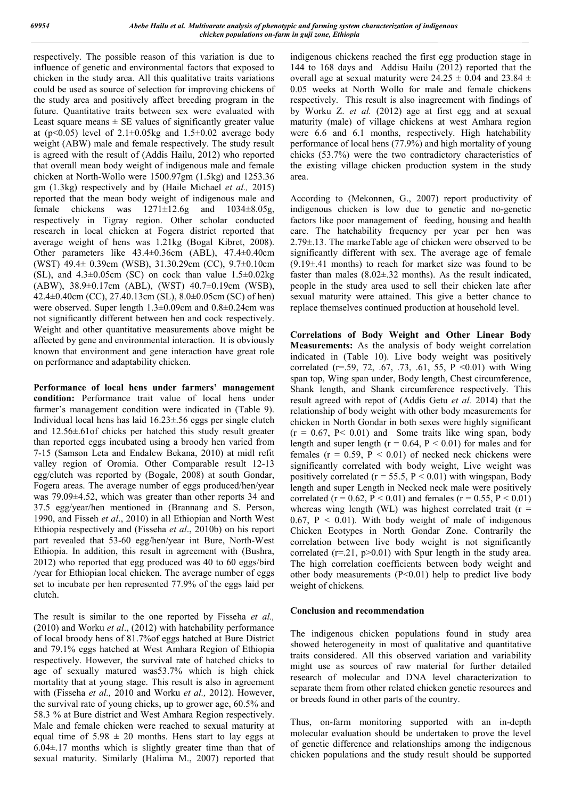respectively. The possible reason of this variation is due to influence of genetic and environmental factors that exposed to chicken in the study area. All this qualitative traits variations could be used as source of selection for improving chickens of the study area and positively affect breeding program in the future. Quantitative traits between sex were evaluated with Least square means  $\pm$  SE values of significantly greater value at (p<0.05) level of  $2.1 \pm 0.05$ kg and  $1.5 \pm 0.02$  average body weight (ABW) male and female respectively. The study result is agreed with the result of (Addis Hailu, 2012) who reported that overall mean body weight of indigenous male and female chicken at North-Wollo were 1500.97gm (1.5kg) and 1253.36 gm (1.3kg) respectively and by (Haile Michael *et al.,* 2015) reported that the mean body weight of indigenous male and female chickens was  $1271 \pm 12.6g$  and  $1034 \pm 8.05g$ , respectively in Tigray region. Other scholar conducted research in local chicken at Fogera district reported that average weight of hens was 1.21kg (Bogal Kibret, 2008). Other parameters like 43.4±0.36cm (ABL), 47.4±0.40cm (WST) 49.4± 0.39cm (WSB), 31.30.29cm (CC), 9.7±0.10cm (SL), and  $4.3\pm0.05$ cm (SC) on cock than value  $1.5\pm0.02$ kg (ABW), 38.9±0.17cm (ABL), (WST) 40.7±0.19cm (WSB), 42.4±0.40cm (CC), 27.40.13cm (SL), 8.0±0.05cm (SC) of hen) were observed. Super length 1.3±0.09cm and 0.8±0.24cm was not significantly different between hen and cock respectively. Weight and other quantitative measurements above might be affected by gene and environmental interaction. It is obviously known that environment and gene interaction have great role on performance and adaptability chicken.

**Performance of local hens under farmers' management condition:** Performance trait value of local hens under farmer's management condition were indicated in (Table 9). Individual local hens has laid 16.23±.56 eggs per single clutch and 12.56±.61of chicks per hatched this study result greater than reported eggs incubated using a broody hen varied from 7-15 (Samson Leta and Endalew Bekana, 2010) at midl refit valley region of Oromia. Other Comparable result 12-13 egg/clutch was reported by (Bogale, 2008) at south Gondar, Fogera areas. The average number of eggs produced/hen/year was 79.09±4.52, which was greater than other reports 34 and 37.5 egg/year/hen mentioned in (Brannang and S. Person, 1990, and Fisseh *et al*., 2010) in all Ethiopian and North West Ethiopia respectively and (Fisseha *et al*., 2010b) on his report part revealed that 53-60 egg/hen/year int Bure, North-West Ethiopia. In addition, this result in agreement with (Bushra, 2012) who reported that egg produced was 40 to 60 eggs/bird /year for Ethiopian local chicken. The average number of eggs set to incubate per hen represented 77.9% of the eggs laid per clutch.

The result is similar to the one reported by Fisseha *et al.,* (2010) and Worku *et al*., (2012) with hatchability performance of local broody hens of 81.7%of eggs hatched at Bure District and 79.1% eggs hatched at West Amhara Region of Ethiopia respectively. However, the survival rate of hatched chicks to age of sexually matured was53.7% which is high chick mortality that at young stage. This result is also in agreement with (Fisseha *et al.,* 2010 and Worku *et al.,* 2012). However, the survival rate of young chicks, up to grower age, 60.5% and 58.3 % at Bure district and West Amhara Region respectively. Male and female chicken were reached to sexual maturity at equal time of  $5.98 \pm 20$  months. Hens start to lay eggs at  $6.04\pm17$  months which is slightly greater time than that of sexual maturity. Similarly (Halima M., 2007) reported that indigenous chickens reached the first egg production stage in 144 to 168 days and Addisu Hailu (2012) reported that the overall age at sexual maturity were  $24.25 \pm 0.04$  and  $23.84 \pm 1.00$ 0.05 weeks at North Wollo for male and female chickens respectively. This result is also inagreement with findings of by Worku Z. *et al.* (2012) age at first egg and at sexual maturity (male) of village chickens at west Amhara region were 6.6 and 6.1 months, respectively. High hatchability performance of local hens (77.9%) and high mortality of young chicks (53.7%) were the two contradictory characteristics of the existing village chicken production system in the study area.

According to (Mekonnen, G., 2007) report productivity of indigenous chicken is low due to genetic and no-genetic factors like poor management of feeding, housing and health care. The hatchability frequency per year per hen was 2.79±.13. The markeTable age of chicken were observed to be significantly different with sex. The average age of female (9.19±.41 months) to reach for market size was found to be faster than males  $(8.02 \pm .32 \text{ months})$ . As the result indicated, people in the study area used to sell their chicken late after sexual maturity were attained. This give a better chance to replace themselves continued production at household level.

**Correlations of Body Weight and Other Linear Body Measurements:** As the analysis of body weight correlation indicated in (Table 10). Live body weight was positively correlated (r=.59, 72, .67, .73, .61, 55, P <0.01) with Wing span top, Wing span under, Body length, Chest circumference, Shank length, and Shank circumference respectively. This result agreed with repot of (Addis Getu *et al.* 2014) that the relationship of body weight with other body measurements for chicken in North Gondar in both sexes were highly significant  $(r = 0.67, P < 0.01)$  and Some traits like wing span, body length and super length ( $r = 0.64$ ,  $P < 0.01$ ) for males and for females ( $r = 0.59$ ,  $P < 0.01$ ) of necked neck chickens were significantly correlated with body weight, Live weight was positively correlated ( $r = 55.5$ ,  $P < 0.01$ ) with wingspan, Body length and super Length in Necked neck male were positively correlated (r = 0.62, P < 0.01) and females (r = 0.55, P < 0.01) whereas wing length (WL) was highest correlated trait ( $r =$ 0.67,  $P < 0.01$ ). With body weight of male of indigenous Chicken Ecotypes in North Gondar Zone. Contrarily the correlation between live body weight is not significantly correlated  $(r=21, p>0.01)$  with Spur length in the study area. The high correlation coefficients between body weight and other body measurements  $(P<0.01)$  help to predict live body weight of chickens.

#### **Conclusion and recommendation**

The indigenous chicken populations found in study area showed heterogeneity in most of qualitative and quantitative traits considered. All this observed variation and variability might use as sources of raw material for further detailed research of molecular and DNA level characterization to separate them from other related chicken genetic resources and or breeds found in other parts of the country.

Thus, on-farm monitoring supported with an in-depth molecular evaluation should be undertaken to prove the level of genetic difference and relationships among the indigenous chicken populations and the study result should be supported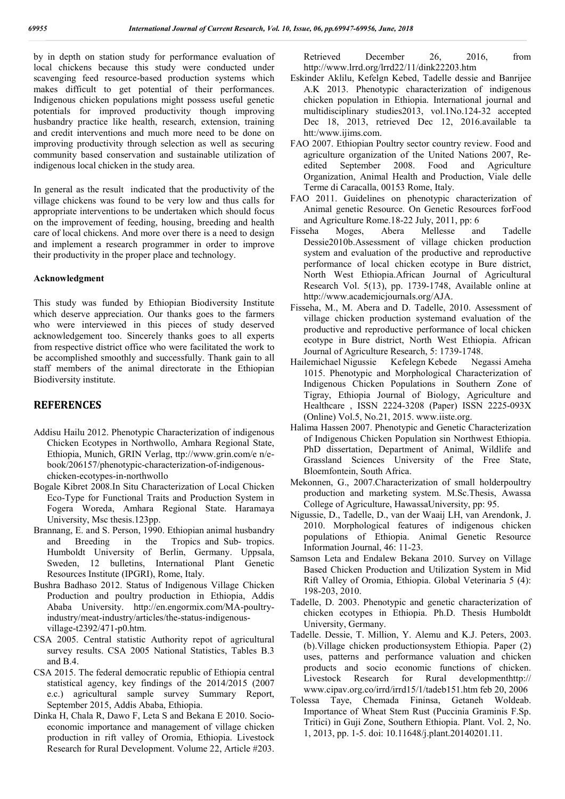by in depth on station study for performance evaluation of local chickens because this study were conducted under scavenging feed resource-based production systems which makes difficult to get potential of their performances. Indigenous chicken populations might possess useful genetic potentials for improved productivity though improving husbandry practice like health, research, extension, training and credit interventions and much more need to be done on improving productivity through selection as well as securing community based conservation and sustainable utilization of indigenous local chicken in the study area.

In general as the result indicated that the productivity of the village chickens was found to be very low and thus calls for appropriate interventions to be undertaken which should focus on the improvement of feeding, housing, breeding and health care of local chickens. And more over there is a need to design and implement a research programmer in order to improve their productivity in the proper place and technology.

#### **Acknowledgment**

This study was funded by Ethiopian Biodiversity Institute which deserve appreciation. Our thanks goes to the farmers who were interviewed in this pieces of study deserved acknowledgement too. Sincerely thanks goes to all experts from respective district office who were facilitated the work to be accomplished smoothly and successfully. Thank gain to all staff members of the animal directorate in the Ethiopian Biodiversity institute.

#### **REFERENCES**

- Addisu Hailu 2012. Phenotypic Characterization of indigenous Chicken Ecotypes in Northwollo, Amhara Regional State, Ethiopia, Munich, GRIN Verlag, ttp://www.grin.com/e n/ebook/206157/phenotypic-characterization-of-indigenouschicken-ecotypes-in-northwollo
- Bogale Kibret 2008.In Situ Characterization of Local Chicken Eco-Type for Functional Traits and Production System in Fogera Woreda, Amhara Regional State. Haramaya University, Msc thesis.123pp.
- Brannang, E. and S. Person, 1990. Ethiopian animal husbandry and Breeding in the Tropics and Sub- tropics. Humboldt University of Berlin, Germany. Uppsala, Sweden, 12 bulletins, International Plant Genetic Resources Institute (IPGRI), Rome, Italy.
- Bushra Badhaso 2012. Status of Indigenous Village Chicken Production and poultry production in Ethiopia, Addis Ababa University. http://en.engormix.com/MA-poultryindustry/meat-industry/articles/the-status-indigenousvillage-t2392/471-p0.htm.
- CSA 2005. Central statistic Authority repot of agricultural survey results. CSA 2005 National Statistics, Tables B.3 and B.4.
- CSA 2015. The federal democratic republic of Ethiopia central statistical agency, key findings of the 2014/2015 (2007 e.c.) agricultural sample survey Summary Report, September 2015, Addis Ababa, Ethiopia.
- Dinka H, Chala R, Dawo F, Leta S and Bekana E 2010. Socioeconomic importance and management of village chicken production in rift valley of Oromia, Ethiopia. Livestock Research for Rural Development. Volume 22, Article #203.

Retrieved December 26, 2016, from http://www.lrrd.org/lrrd22/11/dink22203.htm

- Eskinder Aklilu, Kefelgn Kebed, Tadelle dessie and Banrijee A.K 2013. Phenotypic characterization of indigenous chicken population in Ethiopia. International journal and multidisciplinary studies2013, vol.1No.124-32 accepted Dec 18, 2013, retrieved Dec 12, 2016.available ta htt:/www.ijims.com.
- FAO 2007. Ethiopian Poultry sector country review. Food and agriculture organization of the United Nations 2007, Reedited September 2008. Food and Agriculture Organization, Animal Health and Production, Viale delle Terme di Caracalla, 00153 Rome, Italy.
- FAO 2011. Guidelines on phenotypic characterization of Animal genetic Resource. On Genetic Resources forFood and Agriculture Rome.18-22 July, 2011, pp: 6
- Fisseha Moges, Abera Mellesse and Tadelle Dessie2010b.Assessment of village chicken production system and evaluation of the productive and reproductive performance of local chicken ecotype in Bure district, North West Ethiopia.African Journal of Agricultural Research Vol. 5(13), pp. 1739-1748, Available online at http://www.academicjournals.org/AJA.
- Fisseha, M., M. Abera and D. Tadelle, 2010. Assessment of village chicken production systemand evaluation of the productive and reproductive performance of local chicken ecotype in Bure district, North West Ethiopia. African Journal of Agriculture Research, 5: 1739-1748.
- Hailemichael Nigussie Kefelegn Kebede Negassi Ameha 1015. Phenotypic and Morphological Characterization of Indigenous Chicken Populations in Southern Zone of Tigray, Ethiopia Journal of Biology, Agriculture and Healthcare , ISSN 2224-3208 (Paper) ISSN 2225-093X (Online) Vol.5, No.21, 2015. www.iiste.org.
- Halima Hassen 2007. Phenotypic and Genetic Characterization of Indigenous Chicken Population sin Northwest Ethiopia. PhD dissertation, Department of Animal, Wildlife and Grassland Sciences University of the Free State, Bloemfontein, South Africa.
- Mekonnen, G., 2007.Characterization of small holderpoultry production and marketing system. M.Sc.Thesis, Awassa College of Agriculture, HawassaUniversity, pp: 95.
- Nigussie, D., Tadelle, D., van der Waaij LH, van Arendonk, J. 2010. Morphological features of indigenous chicken populations of Ethiopia. Animal Genetic Resource Information Journal, 46: 11-23.
- Samson Leta and Endalew Bekana 2010. Survey on Village Based Chicken Production and Utilization System in Mid Rift Valley of Oromia, Ethiopia. Global Veterinaria 5 (4): 198-203, 2010.
- Tadelle, D. 2003. Phenotypic and genetic characterization of chicken ecotypes in Ethiopia. Ph.D. Thesis Humboldt University, Germany.
- Tadelle. Dessie, T. Million, Y. Alemu and K.J. Peters, 2003. (b).Village chicken productionsystem Ethiopia. Paper (2) uses, patterns and performance valuation and chicken products and socio economic functions of chicken. Livestock Research for Rural developmenthttp:// www.cipav.org.co/irrd/irrd15/1/tadeb151.htm feb 20, 2006
- Tolessa Taye, Chemada Fininsa, Getaneh Woldeab. Importance of Wheat Stem Rust (Puccinia Graminis F.Sp. Tritici) in Guji Zone, Southern Ethiopia. Plant. Vol. 2, No. 1, 2013, pp. 1-5. doi: 10.11648/j.plant.20140201.11.